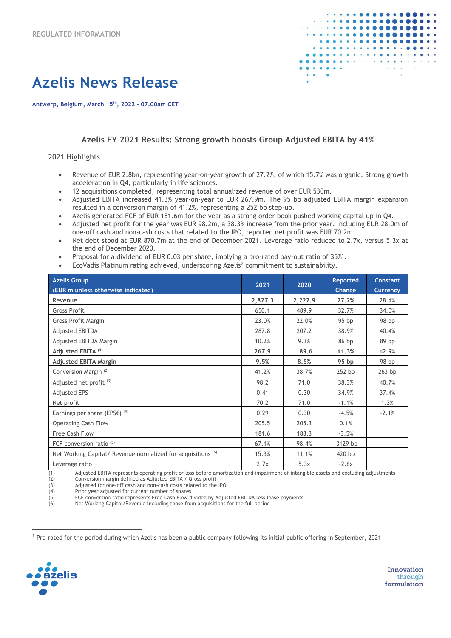

# **Azelis News Release**

**Antwerp, Belgium, March 15th, 2022 – 07.00am CET**

#### **Azelis FY 2021 Results: Strong growth boosts Group Adjusted EBITA by 41%**

#### 2021 Highlights

- Revenue of EUR 2.8bn, representing year-on-year growth of 27.2%, of which 15.7% was organic. Strong growth acceleration in Q4, particularly in life sciences.
- 12 acquisitions completed, representing total annualized revenue of over EUR 530m.
- Adjusted EBITA increased 41.3% year-on-year to EUR 267.9m. The 95 bp adjusted EBITA margin expansion resulted in a conversion margin of 41.2%, representing a 252 bp step-up.
- Azelis generated FCF of EUR 181.6m for the year as a strong order book pushed working capital up in Q4.
- Adjusted net profit for the year was EUR 98.2m, a 38.3% increase from the prior year. Including EUR 28.0m of one-off cash and non-cash costs that related to the IPO, reported net profit was EUR 70.2m.
- Net debt stood at EUR 870.7m at the end of December 2021. Leverage ratio reduced to 2.7x, versus 5.3x at the end of December 2020.
- Proposal for a dividend of EUR 0.03 per share, implying a pro-rated pay-out ratio of  $35\%$ <sup>1</sup>.
- EcoVadis Platinum rating achieved, underscoring Azelis' commitment to sustainability.

| <b>Azelis Group</b><br>(EUR m unless otherwise indicated)    | 2021    | 2020    | <b>Reported</b><br>Change | <b>Constant</b><br><b>Currency</b> |
|--------------------------------------------------------------|---------|---------|---------------------------|------------------------------------|
| Revenue                                                      | 2,827.3 | 2,222.9 | 27.2%                     | 28.4%                              |
| <b>Gross Profit</b>                                          | 650.1   | 489.9   | 32.7%                     | 34.0%                              |
| Gross Profit Margin                                          | 23.0%   | 22.0%   | 95 bp                     | 98 bp                              |
| <b>Adjusted EBITDA</b>                                       | 287.8   | 207.2   | 38.9%                     | 40.4%                              |
| Adjusted EBITDA Margin                                       | 10.2%   | 9.3%    | 86 bp                     | 89 bp                              |
| Adjusted EBITA (1)                                           | 267.9   | 189.6   | 41.3%                     | 42.9%                              |
| <b>Adjusted EBITA Margin</b>                                 | 9.5%    | 8.5%    | 95 <sub>bp</sub>          | 98 bp                              |
| Conversion Margin <sup>(2)</sup>                             | 41.2%   | 38.7%   | 252 bp                    | 263 bp                             |
| Adjusted net profit <sup>(3)</sup>                           | 98.2    | 71.0    | 38.3%                     | 40.7%                              |
| <b>Adjusted EPS</b>                                          | 0.41    | 0.30    | 34.9%                     | 37.4%                              |
| Net profit                                                   | 70.2    | 71.0    | $-1.1%$                   | 1.3%                               |
| Earnings per share (EPS $\varepsilon$ ) <sup>(4)</sup>       | 0.29    | 0.30    | $-4.5%$                   | $-2.1%$                            |
| Operating Cash Flow                                          | 205.5   | 205.3   | 0.1%                      |                                    |
| Free Cash Flow                                               | 181.6   | 188.3   | $-3.5%$                   |                                    |
| FCF conversion ratio <sup>(5)</sup>                          | 67.1%   | 98.4%   | $-3129$ bp                |                                    |
| Net Working Capital/ Revenue normalized for acquisitions (6) | 15.3%   | 11.1%   | 420 bp                    |                                    |
| Leverage ratio                                               | 2.7x    | 5.3x    | $-2.6x$                   |                                    |

(1) Adjusted EBITA represents operating profit or loss before amortization and impairment of intangible assets and excluding adjustments<br>(2) Conversion margin defined as Adjusted EBITA / Gross profit

(2) Conversion margin defined as Adjusted EBITA / Gross profit

 $(3)$  Adjusted for one-off cash and non-cash costs related to the IPO  $(4)$  Prior year adjusted for current number of shares

(4) Prior year adjusted for current number of shares<br>(5) FCF conversion ratio represents Free Cash Flow d

FCF conversion ratio represents Free Cash Flow divided by Adjusted EBITDA less lease payments

(6) Net Working Capital/Revenue including those from acquisitions for the full period

<sup>1</sup> Pro-rated for the period during which Azelis has been a public company following its initial public offering in September, 2021

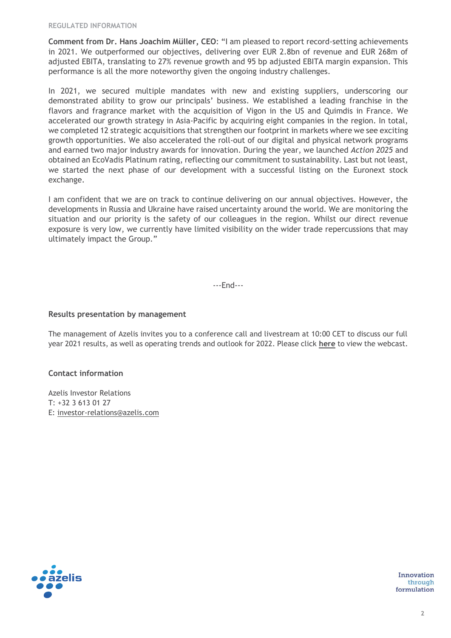**Comment from Dr. Hans Joachim Müller, CEO**: "I am pleased to report record-setting achievements in 2021. We outperformed our objectives, delivering over EUR 2.8bn of revenue and EUR 268m of adjusted EBITA, translating to 27% revenue growth and 95 bp adjusted EBITA margin expansion. This performance is all the more noteworthy given the ongoing industry challenges.

In 2021, we secured multiple mandates with new and existing suppliers, underscoring our demonstrated ability to grow our principals' business. We established a leading franchise in the flavors and fragrance market with the acquisition of Vigon in the US and Quimdis in France. We accelerated our growth strategy in Asia-Pacific by acquiring eight companies in the region. In total, we completed 12 strategic acquisitions that strengthen our footprint in markets where we see exciting growth opportunities. We also accelerated the roll-out of our digital and physical network programs and earned two major industry awards for innovation. During the year, we launched *Action 2025* and obtained an EcoVadis Platinum rating, reflecting our commitment to sustainability. Last but not least, we started the next phase of our development with a successful listing on the Euronext stock exchange.

I am confident that we are on track to continue delivering on our annual objectives. However, the developments in Russia and Ukraine have raised uncertainty around the world. We are monitoring the situation and our priority is the safety of our colleagues in the region. Whilst our direct revenue exposure is very low, we currently have limited visibility on the wider trade repercussions that may ultimately impact the Group."

---End---

#### **Results presentation by management**

The management of Azelis invites you to a conference call and livestream at 10:00 CET to discuss our full year 2021 results, as well as operating trends and outlook for 2022. Please click **[here](https://www.azelis.com/en/fy21results)** to view the webcast.

### **Contact information**

Azelis Investor Relations T: +32 3 613 01 27 E: [investor-relations@azelis.com](mailto:investor-relations@azelis.com)

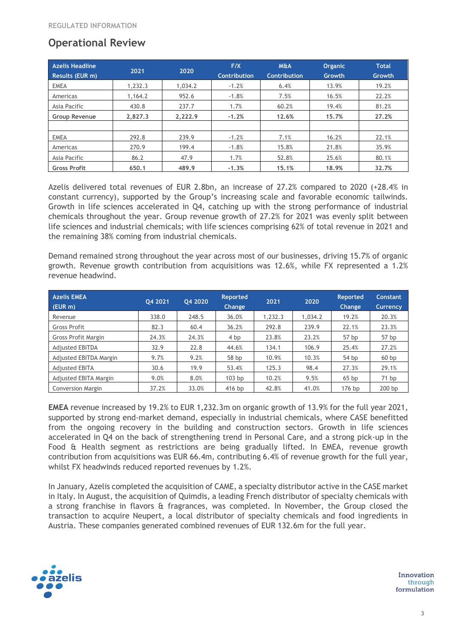## **Operational Review**

| <b>Azelis Headline</b><br>Results (EUR m) | 2021    | 2020    | F/X<br><b>Contribution</b> | <b>M&amp;A</b><br><b>Contribution</b> | <b>Organic</b><br>Growth | <b>Total</b><br><b>Growth</b> |
|-------------------------------------------|---------|---------|----------------------------|---------------------------------------|--------------------------|-------------------------------|
| <b>EMEA</b>                               | 1,232.3 | 1,034.2 | $-1.2%$                    | 6.4%                                  | 13.9%                    | 19.2%                         |
| Americas                                  | 1,164.2 | 952.6   | $-1.8%$                    | 7.5%                                  | 16.5%                    | 22.2%                         |
| Asia Pacific                              | 430.8   | 237.7   | 1.7%                       | 60.2%                                 | 19.4%                    | 81.2%                         |
| <b>Group Revenue</b>                      | 2,827.3 | 2,222.9 | $-1.2%$                    | 12.6%                                 | 15.7%                    | 27.2%                         |
|                                           |         |         |                            |                                       |                          |                               |
| <b>EMEA</b>                               | 292.8   | 239.9   | $-1.2%$                    | 7.1%                                  | 16.2%                    | 22.1%                         |
| Americas                                  | 270.9   | 199.4   | $-1.8%$                    | 15.8%                                 | 21.8%                    | 35.9%                         |
| Asia Pacific                              | 86.2    | 47.9    | 1.7%                       | 52.8%                                 | 25.6%                    | 80.1%                         |
| <b>Gross Profit</b>                       | 650.1   | 489.9   | $-1.3%$                    | 15.1%                                 | 18.9%                    | 32.7%                         |

Azelis delivered total revenues of EUR 2.8bn, an increase of 27.2% compared to 2020 (+28.4% in constant currency), supported by the Group's increasing scale and favorable economic tailwinds. Growth in life sciences accelerated in Q4, catching up with the strong performance of industrial chemicals throughout the year. Group revenue growth of 27.2% for 2021 was evenly split between life sciences and industrial chemicals; with life sciences comprising 62% of total revenue in 2021 and the remaining 38% coming from industrial chemicals.

Demand remained strong throughout the year across most of our businesses, driving 15.7% of organic growth. Revenue growth contribution from acquisitions was 12.6%, while FX represented a 1.2% revenue headwind.

| <b>Azelis EMEA</b><br>$($ (EUR m) | 04 2021 | 04 2020 | <b>Reported</b><br><b>Change</b> | 2021    | 2020    | <b>Reported</b><br>Change | Constant<br><b>Currency</b> |
|-----------------------------------|---------|---------|----------------------------------|---------|---------|---------------------------|-----------------------------|
| Revenue                           | 338.0   | 248.5   | 36.0%                            | 1,232.3 | 1,034.2 | 19.2%                     | 20.3%                       |
| Gross Profit                      | 82.3    | 60.4    | 36.2%                            | 292.8   | 239.9   | 22.1%                     | 23.3%                       |
| Gross Profit Margin               | 24.3%   | 24.3%   | 4 bp                             | 23.8%   | 23.2%   | 57 bp                     | 57 bp                       |
| <b>Adjusted EBITDA</b>            | 32.9    | 22.8    | 44.6%                            | 134.1   | 106.9   | 25.4%                     | 27.2%                       |
| Adjusted EBITDA Margin            | 9.7%    | 9.2%    | 58 bp                            | 10.9%   | 10.3%   | 54 bp                     | 60bp                        |
| <b>Adjusted EBITA</b>             | 30.6    | 19.9    | 53.4%                            | 125.3   | 98.4    | 27.3%                     | 29.1%                       |
| Adjusted EBITA Margin             | 9.0%    | 8.0%    | 103 <sub>bp</sub>                | 10.2%   | 9.5%    | 65bp                      | 71 bp                       |
| <b>Conversion Margin</b>          | 37.2%   | 33.0%   | $416$ bp                         | 42.8%   | 41.0%   | 176 bp                    | 200 <sub>bp</sub>           |

**EMEA** revenue increased by 19.2% to EUR 1,232.3m on organic growth of 13.9% for the full year 2021, supported by strong end-market demand, especially in industrial chemicals, where CASE benefitted from the ongoing recovery in the building and construction sectors. Growth in life sciences accelerated in Q4 on the back of strengthening trend in Personal Care, and a strong pick-up in the Food & Health segment as restrictions are being gradually lifted. In EMEA, revenue growth contribution from acquisitions was EUR 66.4m, contributing 6.4% of revenue growth for the full year, whilst FX headwinds reduced reported revenues by 1.2%.

In January, Azelis completed the acquisition of CAME, a specialty distributor active in the CASE market in Italy. In August, the acquisition of Quimdis, a leading French distributor of specialty chemicals with a strong franchise in flavors & fragrances, was completed. In November, the Group closed the transaction to acquire Neupert, a local distributor of specialty chemicals and food ingredients in Austria. These companies generated combined revenues of EUR 132.6m for the full year.

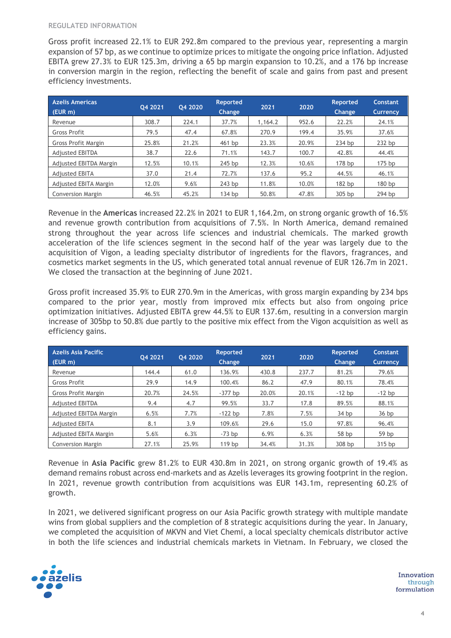Gross profit increased 22.1% to EUR 292.8m compared to the previous year, representing a margin expansion of 57 bp, as we continue to optimize prices to mitigate the ongoing price inflation. Adjusted EBITA grew 27.3% to EUR 125.3m, driving a 65 bp margin expansion to 10.2%, and a 176 bp increase in conversion margin in the region, reflecting the benefit of scale and gains from past and present efficiency investments.

| <b>Azelis Americas</b><br>$(EUR \, m)$ | 04 2021 | 04 2020 | Reported<br><b>Change</b> | 2021    | 2020  | <b>Reported</b><br>Change | Constant<br><b>Currency</b> |
|----------------------------------------|---------|---------|---------------------------|---------|-------|---------------------------|-----------------------------|
| Revenue                                | 308.7   | 224.1   | 37.7%                     | 1,164.2 | 952.6 | 22.2%                     | 24.1%                       |
| Gross Profit                           | 79.5    | 47.4    | 67.8%                     | 270.9   | 199.4 | 35.9%                     | 37.6%                       |
| Gross Profit Margin                    | 25.8%   | 21.2%   | 461 bp                    | 23.3%   | 20.9% | 234 bp                    | 232 bp                      |
| <b>Adjusted EBITDA</b>                 | 38.7    | 22.6    | 71.1%                     | 143.7   | 100.7 | 42.8%                     | 44.4%                       |
| Adjusted EBITDA Margin                 | 12.5%   | 10.1%   | $245$ bp                  | 12.3%   | 10.6% | 178 <sub>bp</sub>         | $175$ bp                    |
| <b>Adjusted EBITA</b>                  | 37.0    | 21.4    | 72.7%                     | 137.6   | 95.2  | 44.5%                     | 46.1%                       |
| Adjusted EBITA Margin                  | 12.0%   | 9.6%    | $243$ bp                  | 11.8%   | 10.0% | 182 <sub>bp</sub>         | 180 <sub>bp</sub>           |
| <b>Conversion Margin</b>               | 46.5%   | 45.2%   | $134$ bp                  | 50.8%   | 47.8% | $305$ bp                  | 294 bp                      |

Revenue in the **Americas** increased 22.2% in 2021 to EUR 1,164.2m, on strong organic growth of 16.5% and revenue growth contribution from acquisitions of 7.5%. In North America, demand remained strong throughout the year across life sciences and industrial chemicals. The marked growth acceleration of the life sciences segment in the second half of the year was largely due to the acquisition of Vigon, a leading specialty distributor of ingredients for the flavors, fragrances, and cosmetics market segments in the US, which generated total annual revenue of EUR 126.7m in 2021. We closed the transaction at the beginning of June 2021.

Gross profit increased 35.9% to EUR 270.9m in the Americas, with gross margin expanding by 234 bps compared to the prior year, mostly from improved mix effects but also from ongoing price optimization initiatives. Adjusted EBITA grew 44.5% to EUR 137.6m, resulting in a conversion margin increase of 305bp to 50.8% due partly to the positive mix effect from the Vigon acquisition as well as efficiency gains.

| Azelis Asia Pacific<br>$(EUR \, m)$ | 04 2021 | Q4 2020 | Reported<br><b>Change</b> | 2021  | 2020  | <b>Reported</b><br><b>Change</b> | <b>Constant</b><br><b>Currency</b> |
|-------------------------------------|---------|---------|---------------------------|-------|-------|----------------------------------|------------------------------------|
| Revenue                             | 144.4   | 61.0    | 136.9%                    | 430.8 | 237.7 | 81.2%                            | 79.6%                              |
| Gross Profit                        | 29.9    | 14.9    | 100.4%                    | 86.2  | 47.9  | 80.1%                            | 78.4%                              |
| Gross Profit Margin                 | 20.7%   | 24.5%   | $-377$ bp                 | 20.0% | 20.1% | $-12$ bp                         | $-12$ bp                           |
| <b>Adjusted EBITDA</b>              | 9.4     | 4.7     | 99.5%                     | 33.7  | 17.8  | 89.5%                            | 88.1%                              |
| Adjusted EBITDA Margin              | 6.5%    | 7.7%    | $-122$ bp                 | 7.8%  | 7.5%  | 34 <sub>bp</sub>                 | 36 <sub>bp</sub>                   |
| <b>Adjusted EBITA</b>               | 8.1     | 3.9     | 109.6%                    | 29.6  | 15.0  | 97.8%                            | 96.4%                              |
| Adjusted EBITA Margin               | 5.6%    | 6.3%    | $-73$ bp                  | 6.9%  | 6.3%  | 58 bp                            | 59 bp                              |
| Conversion Margin                   | 27.1%   | 25.9%   | 119 <sub>bp</sub>         | 34.4% | 31.3% | 308 bp                           | 315 bp                             |

Revenue in **Asia Pacific** grew 81.2% to EUR 430.8m in 2021, on strong organic growth of 19.4% as demand remains robust across end-markets and as Azelis leverages its growing footprint in the region. In 2021, revenue growth contribution from acquisitions was EUR 143.1m, representing 60.2% of growth.

In 2021, we delivered significant progress on our Asia Pacific growth strategy with multiple mandate wins from global suppliers and the completion of 8 strategic acquisitions during the year. In January, we completed the acquisition of MKVN and Viet Chemi, a local specialty chemicals distributor active in both the life sciences and industrial chemicals markets in Vietnam. In February, we closed the

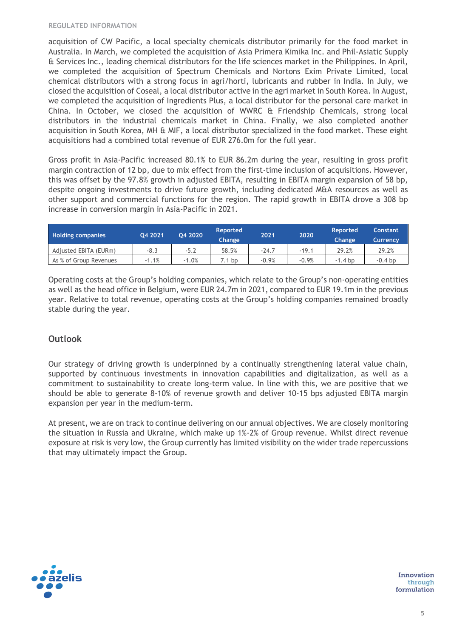acquisition of CW Pacific, a local specialty chemicals distributor primarily for the food market in Australia. In March, we completed the acquisition of Asia Primera Kimika Inc. and Phil-Asiatic Supply & Services Inc., leading chemical distributors for the life sciences market in the Philippines. In April, we completed the acquisition of Spectrum Chemicals and Nortons Exim Private Limited, local chemical distributors with a strong focus in agri/horti, lubricants and rubber in India. In July, we closed the acquisition of Coseal, a local distributor active in the agri market in South Korea. In August, we completed the acquisition of Ingredients Plus, a local distributor for the personal care market in China. In October, we closed the acquisition of WWRC & Friendship Chemicals, strong local distributors in the industrial chemicals market in China. Finally, we also completed another acquisition in South Korea, MH & MIF, a local distributor specialized in the food market. These eight acquisitions had a combined total revenue of EUR 276.0m for the full year.

Gross profit in Asia-Pacific increased 80.1% to EUR 86.2m during the year, resulting in gross profit margin contraction of 12 bp, due to mix effect from the first-time inclusion of acquisitions. However, this was offset by the 97.8% growth in adjusted EBITA, resulting in EBITA margin expansion of 58 bp, despite ongoing investments to drive future growth, including dedicated M&A resources as well as other support and commercial functions for the region. The rapid growth in EBITA drove a 308 bp increase in conversion margin in Asia-Pacific in 2021.

| <b>Holding companies</b> | 04 2021 | 04 2020 | <b>Reported</b><br><b>Change</b> | 2021    | 2020    | <b>Reported</b><br>Change | <b>Constant</b><br>Currency |
|--------------------------|---------|---------|----------------------------------|---------|---------|---------------------------|-----------------------------|
| Adjusted EBITA (EURm)    | $-8.3$  | $-5.2$  | 58.5%                            | $-24.7$ | $-19.1$ | 29.2%                     | 29.2%                       |
| As % of Group Revenues   | $-1.1%$ | $-1.0%$ | .1 bp                            | $-0.9%$ | $-0.9%$ | -1.4 bp                   | $-0.4$ bp                   |

Operating costs at the Group's holding companies, which relate to the Group's non-operating entities as well as the head office in Belgium, were EUR 24.7m in 2021, compared to EUR 19.1m in the previous year. Relative to total revenue, operating costs at the Group's holding companies remained broadly stable during the year.

## **Outlook**

Our strategy of driving growth is underpinned by a continually strengthening lateral value chain, supported by continuous investments in innovation capabilities and digitalization, as well as a commitment to sustainability to create long-term value. In line with this, we are positive that we should be able to generate 8-10% of revenue growth and deliver 10-15 bps adjusted EBITA margin expansion per year in the medium-term.

At present, we are on track to continue delivering on our annual objectives. We are closely monitoring the situation in Russia and Ukraine, which make up 1%-2% of Group revenue. Whilst direct revenue exposure at risk is very low, the Group currently has limited visibility on the wider trade repercussions that may ultimately impact the Group.

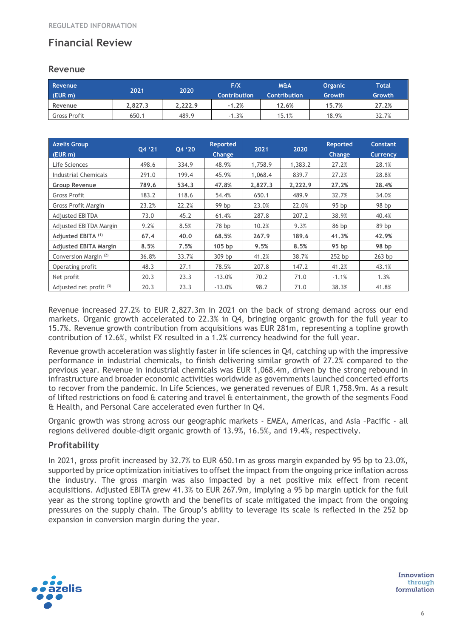## **Financial Review**

### **Revenue**

| Revenue<br>$(EUR \, m)$ | 2021    | 2020    | F/X<br><b>Contribution</b> | <b>M&amp;A</b><br><b>Contribution</b> | <b>Organic</b><br>Growth | Total<br>Growth |
|-------------------------|---------|---------|----------------------------|---------------------------------------|--------------------------|-----------------|
| Revenue                 | 2.827.3 | 2.222.9 | $-1.2%$                    | 12.6%                                 | 15.7%                    | 27.2%           |
| <b>Gross Profit</b>     | 650.1   | 489.9   | .3%<br>- 1                 | 15.1%                                 | 18.9%                    | 32.7%           |

| <b>Azelis Group</b><br>(EUR m)   | 04 '21 | Q4 '20 | <b>Reported</b><br>Change | 2021    | 2020    | <b>Reported</b><br><b>Change</b> | Constant<br><b>Currency</b> |
|----------------------------------|--------|--------|---------------------------|---------|---------|----------------------------------|-----------------------------|
| Life Sciences                    | 498.6  | 334.9  | 48.9%                     | 1,758.9 | 1,383.2 | 27.2%                            | 28.1%                       |
| Industrial Chemicals             | 291.0  | 199.4  | 45.9%                     | 1.068.4 | 839.7   | 27.2%                            | 28.8%                       |
| <b>Group Revenue</b>             | 789.6  | 534.3  | 47.8%                     | 2,827.3 | 2,222.9 | 27.2%                            | 28.4%                       |
| Gross Profit                     | 183.2  | 118.6  | 54.4%                     | 650.1   | 489.9   | 32.7%                            | 34.0%                       |
| Gross Profit Margin              | 23.2%  | 22.2%  | 99 bp                     | 23.0%   | 22.0%   | 95 bp                            | 98 bp                       |
| <b>Adjusted EBITDA</b>           | 73.0   | 45.2   | 61.4%                     | 287.8   | 207.2   | 38.9%                            | 40.4%                       |
| Adjusted EBITDA Margin           | 9.2%   | 8.5%   | 78 bp                     | 10.2%   | 9.3%    | 86 bp                            | 89 bp                       |
| Adjusted EBITA <sup>(1)</sup>    | 67.4   | 40.0   | 68.5%                     | 267.9   | 189.6   | 41.3%                            | 42.9%                       |
| <b>Adjusted EBITA Margin</b>     | 8.5%   | 7.5%   | 105 bp                    | 9.5%    | 8.5%    | 95 <sub>bp</sub>                 | 98 bp                       |
| Conversion Margin <sup>(2)</sup> | 36.8%  | 33.7%  | 309 bp                    | 41.2%   | 38.7%   | $252$ bp                         | $263$ bp                    |
| Operating profit                 | 48.3   | 27.1   | 78.5%                     | 207.8   | 147.2   | 41.2%                            | 43.1%                       |
| Net profit                       | 20.3   | 23.3   | $-13.0%$                  | 70.2    | 71.0    | $-1.1%$                          | 1.3%                        |
| Adjusted net profit $(3)$        | 20.3   | 23.3   | $-13.0%$                  | 98.2    | 71.0    | 38.3%                            | 41.8%                       |

Revenue increased 27.2% to EUR 2,827.3m in 2021 on the back of strong demand across our end markets. Organic growth accelerated to 22.3% in Q4, bringing organic growth for the full year to 15.7%. Revenue growth contribution from acquisitions was EUR 281m, representing a topline growth contribution of 12.6%, whilst FX resulted in a 1.2% currency headwind for the full year.

Revenue growth acceleration was slightly faster in life sciences in Q4, catching up with the impressive performance in industrial chemicals, to finish delivering similar growth of 27.2% compared to the previous year. Revenue in industrial chemicals was EUR 1,068.4m, driven by the strong rebound in infrastructure and broader economic activities worldwide as governments launched concerted efforts to recover from the pandemic. In Life Sciences, we generated revenues of EUR 1,758.9m. As a result of lifted restrictions on food & catering and travel & entertainment, the growth of the segments Food & Health, and Personal Care accelerated even further in Q4.

Organic growth was strong across our geographic markets - EMEA, Americas, and Asia –Pacific - all regions delivered double-digit organic growth of 13.9%, 16.5%, and 19.4%, respectively.

## **Profitability**

In 2021, gross profit increased by 32.7% to EUR 650.1m as gross margin expanded by 95 bp to 23.0%, supported by price optimization initiatives to offset the impact from the ongoing price inflation across the industry. The gross margin was also impacted by a net positive mix effect from recent acquisitions. Adjusted EBITA grew 41.3% to EUR 267.9m, implying a 95 bp margin uptick for the full year as the strong topline growth and the benefits of scale mitigated the impact from the ongoing pressures on the supply chain. The Group's ability to leverage its scale is reflected in the 252 bp expansion in conversion margin during the year.

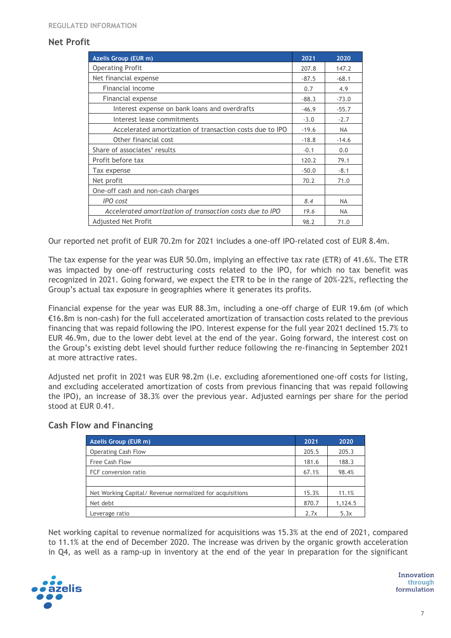### **Net Profit**

| Azelis Group (EUR m)                                     | 2021    | 2020      |
|----------------------------------------------------------|---------|-----------|
| <b>Operating Profit</b>                                  | 207.8   | 147.2     |
| Net financial expense                                    | $-87.5$ | $-68.1$   |
| Financial income                                         | 0.7     | 4.9       |
| Financial expense                                        | $-88.3$ | $-73.0$   |
| Interest expense on bank loans and overdrafts            | $-46.9$ | $-55.7$   |
| Interest lease commitments                               | $-3.0$  | $-2.7$    |
| Accelerated amortization of transaction costs due to IPO | $-19.6$ | <b>NA</b> |
| Other financial cost                                     | $-18.8$ | $-14.6$   |
| Share of associates' results                             | $-0.1$  | 0.0       |
| Profit before tax                                        | 120.2   | 79.1      |
| Tax expense                                              | $-50.0$ | $-8.1$    |
| Net profit                                               | 70.2    | 71.0      |
| One-off cash and non-cash charges                        |         |           |
| <b>IPO</b> cost                                          | 8.4     | <b>NA</b> |
| Accelerated amortization of transaction costs due to IPO | 19.6    | <b>NA</b> |
| <b>Adjusted Net Profit</b>                               | 98.2    | 71.0      |

Our reported net profit of EUR 70.2m for 2021 includes a one-off IPO-related cost of EUR 8.4m.

The tax expense for the year was EUR 50.0m, implying an effective tax rate (ETR) of 41.6%. The ETR was impacted by one-off restructuring costs related to the IPO, for which no tax benefit was recognized in 2021. Going forward, we expect the ETR to be in the range of 20%-22%, reflecting the Group's actual tax exposure in geographies where it generates its profits.

Financial expense for the year was EUR 88.3m, including a one-off charge of EUR 19.6m (of which €16.8m is non-cash) for the full accelerated amortization of transaction costs related to the previous financing that was repaid following the IPO. Interest expense for the full year 2021 declined 15.7% to EUR 46.9m, due to the lower debt level at the end of the year. Going forward, the interest cost on the Group's existing debt level should further reduce following the re-financing in September 2021 at more attractive rates.

Adjusted net profit in 2021 was EUR 98.2m (i.e. excluding aforementioned one-off costs for listing, and excluding accelerated amortization of costs from previous financing that was repaid following the IPO), an increase of 38.3% over the previous year. Adjusted earnings per share for the period stood at EUR 0.41.

### **Cash Flow and Financing**

| <b>Azelis Group (EUR m)</b>                              | 2021  | 2020    |
|----------------------------------------------------------|-------|---------|
| <b>Operating Cash Flow</b>                               | 205.5 | 205.3   |
| <b>Free Cash Flow</b>                                    | 181.6 | 188.3   |
| FCF conversion ratio                                     | 67.1% | 98.4%   |
|                                                          |       |         |
| Net Working Capital/ Revenue normalized for acquisitions | 15.3% | 11.1%   |
| Net debt                                                 | 870.7 | 1,124.5 |
| Leverage ratio                                           | 2.7x  | 5.3x    |

Net working capital to revenue normalized for acquisitions was 15.3% at the end of 2021, compared to 11.1% at the end of December 2020. The increase was driven by the organic growth acceleration in Q4, as well as a ramp-up in inventory at the end of the year in preparation for the significant

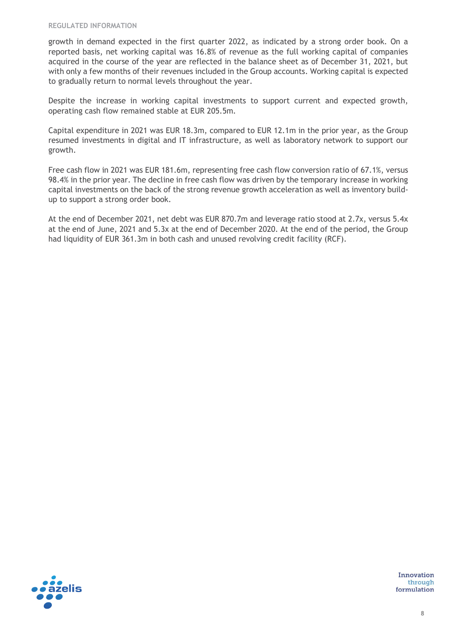growth in demand expected in the first quarter 2022, as indicated by a strong order book. On a reported basis, net working capital was 16.8% of revenue as the full working capital of companies acquired in the course of the year are reflected in the balance sheet as of December 31, 2021, but with only a few months of their revenues included in the Group accounts. Working capital is expected to gradually return to normal levels throughout the year.

Despite the increase in working capital investments to support current and expected growth, operating cash flow remained stable at EUR 205.5m.

Capital expenditure in 2021 was EUR 18.3m, compared to EUR 12.1m in the prior year, as the Group resumed investments in digital and IT infrastructure, as well as laboratory network to support our growth.

Free cash flow in 2021 was EUR 181.6m, representing free cash flow conversion ratio of 67.1%, versus 98.4% in the prior year. The decline in free cash flow was driven by the temporary increase in working capital investments on the back of the strong revenue growth acceleration as well as inventory buildup to support a strong order book.

At the end of December 2021, net debt was EUR 870.7m and leverage ratio stood at 2.7x, versus 5.4x at the end of June, 2021 and 5.3x at the end of December 2020. At the end of the period, the Group had liquidity of EUR 361.3m in both cash and unused revolving credit facility (RCF).

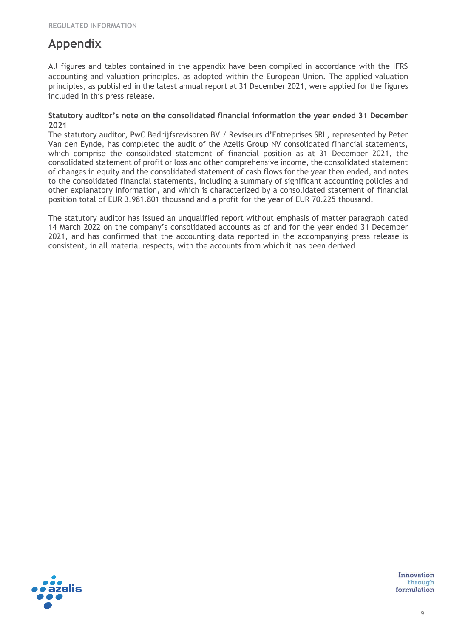## **Appendix**

All figures and tables contained in the appendix have been compiled in accordance with the IFRS accounting and valuation principles, as adopted within the European Union. The applied valuation principles, as published in the latest annual report at 31 December 2021, were applied for the figures included in this press release.

#### **Statutory auditor's note on the consolidated financial information the year ended 31 December 2021**

The statutory auditor, PwC Bedrijfsrevisoren BV / Reviseurs d'Entreprises SRL, represented by Peter Van den Eynde, has completed the audit of the Azelis Group NV consolidated financial statements, which comprise the consolidated statement of financial position as at 31 December 2021, the consolidated statement of profit or loss and other comprehensive income, the consolidated statement of changes in equity and the consolidated statement of cash flows for the year then ended, and notes to the consolidated financial statements, including a summary of significant accounting policies and other explanatory information, and which is characterized by a consolidated statement of financial position total of EUR 3.981.801 thousand and a profit for the year of EUR 70.225 thousand.

The statutory auditor has issued an unqualified report without emphasis of matter paragraph dated 14 March 2022 on the company's consolidated accounts as of and for the year ended 31 December 2021, and has confirmed that the accounting data reported in the accompanying press release is consistent, in all material respects, with the accounts from which it has been derived

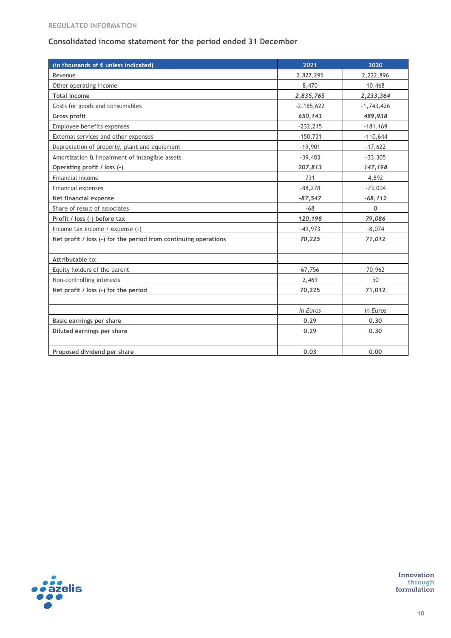#### **REGULATED INFORMATION**

## **Consolidated income statement for the period ended 31 December**

| (in thousands of € unless indicated)                            | 2021         | 2020         |
|-----------------------------------------------------------------|--------------|--------------|
| Revenue                                                         | 2,827,295    | 2,222,896    |
| Other operating income                                          | 8,470        | 10,468       |
| <b>Total income</b>                                             | 2,835,765    | 2,233,364    |
| Costs for goods and consumables                                 | $-2,185,622$ | $-1,743,426$ |
| <b>Gross profit</b>                                             | 650,143      | 489,938      |
| Employee benefits expenses                                      | $-232,215$   | $-181,169$   |
| External services and other expenses                            | $-150,731$   | $-110,644$   |
| Depreciation of property, plant and equipment                   | $-19,901$    | $-17,622$    |
| Amortization & impairment of intangible assets                  | $-39,483$    | $-33,305$    |
| Operating profit / loss (-)                                     | 207,813      | 147,198      |
| Financial income                                                | 731          | 4,892        |
| Financial expenses                                              | $-88,278$    | $-73,004$    |
| Net financial expense                                           | $-87,547$    | $-68,112$    |
| Share of result of associates                                   | $-68$        | 0            |
| Profit / loss (-) before tax                                    | 120,198      | 79,086       |
| Income tax income / expense (-)                                 | $-49,973$    | $-8,074$     |
| Net profit / loss (-) for the period from continuing operations | 70,225       | 71,012       |
|                                                                 |              |              |
| Attributable to:                                                |              |              |
| Equity holders of the parent                                    | 67,756       | 70,962       |
| Non-controlling interests                                       | 2,469        | 50           |
| Net profit / loss (-) for the period                            | 70,225       | 71,012       |
|                                                                 |              |              |
|                                                                 | In Euros     | In Euros     |
| Basic earnings per share                                        | 0.29         | 0.30         |
| Diluted earnings per share                                      | 0.29         | 0, 30        |
|                                                                 |              |              |
| Proposed dividend per share                                     | 0.03         | 0.00         |